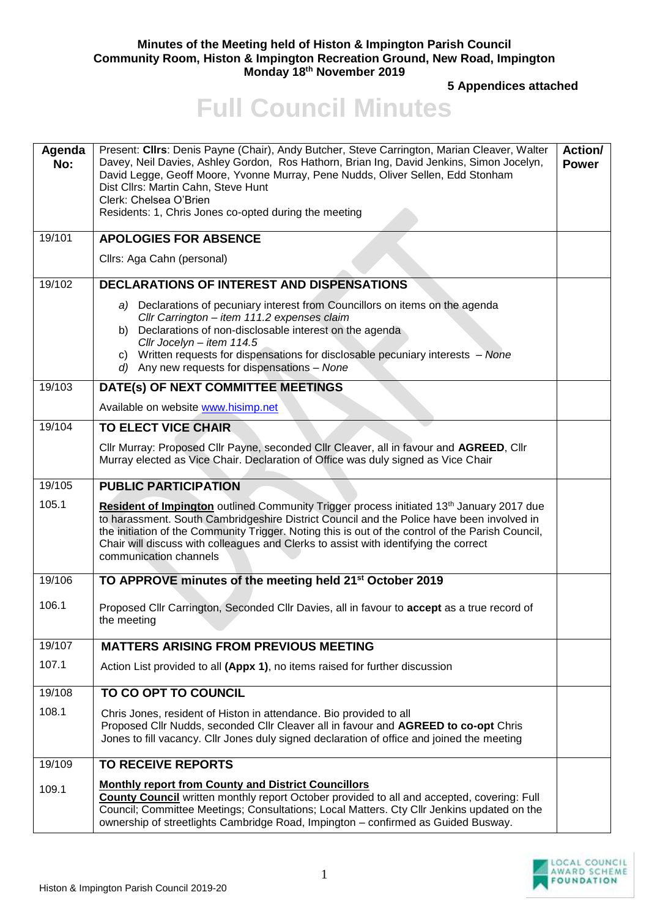## **Minutes of the Meeting held of Histon & Impington Parish Council Community Room, Histon & Impington Recreation Ground, New Road, Impington Monday 18th November 2019**

**5 Appendices attached**

## **Full Council Minutes**

| Agenda<br>No: | Present: Cllrs: Denis Payne (Chair), Andy Butcher, Steve Carrington, Marian Cleaver, Walter<br>Davey, Neil Davies, Ashley Gordon, Ros Hathorn, Brian Ing, David Jenkins, Simon Jocelyn,<br>David Legge, Geoff Moore, Yvonne Murray, Pene Nudds, Oliver Sellen, Edd Stonham<br>Dist Cllrs: Martin Cahn, Steve Hunt<br>Clerk: Chelsea O'Brien<br>Residents: 1, Chris Jones co-opted during the meeting                     | Action/<br><b>Power</b> |
|---------------|--------------------------------------------------------------------------------------------------------------------------------------------------------------------------------------------------------------------------------------------------------------------------------------------------------------------------------------------------------------------------------------------------------------------------|-------------------------|
| 19/101        | <b>APOLOGIES FOR ABSENCE</b>                                                                                                                                                                                                                                                                                                                                                                                             |                         |
|               | Cllrs: Aga Cahn (personal)                                                                                                                                                                                                                                                                                                                                                                                               |                         |
| 19/102        | <b>DECLARATIONS OF INTEREST AND DISPENSATIONS</b>                                                                                                                                                                                                                                                                                                                                                                        |                         |
|               | a) Declarations of pecuniary interest from Councillors on items on the agenda<br>Cllr Carrington - item 111.2 expenses claim<br>Declarations of non-disclosable interest on the agenda<br>b)<br>Cllr Jocelyn - item 114.5<br>c) Written requests for dispensations for disclosable pecuniary interests - None<br>d) Any new requests for dispensations - None                                                            |                         |
| 19/103        | DATE(s) OF NEXT COMMITTEE MEETINGS                                                                                                                                                                                                                                                                                                                                                                                       |                         |
|               | Available on website www.hisimp.net                                                                                                                                                                                                                                                                                                                                                                                      |                         |
| 19/104        | <b>TO ELECT VICE CHAIR</b>                                                                                                                                                                                                                                                                                                                                                                                               |                         |
|               | Cllr Murray: Proposed Cllr Payne, seconded Cllr Cleaver, all in favour and AGREED, Cllr<br>Murray elected as Vice Chair. Declaration of Office was duly signed as Vice Chair                                                                                                                                                                                                                                             |                         |
| 19/105        | <b>PUBLIC PARTICIPATION</b>                                                                                                                                                                                                                                                                                                                                                                                              |                         |
| 105.1         | Resident of Impington outlined Community Trigger process initiated 13 <sup>th</sup> January 2017 due<br>to harassment. South Cambridgeshire District Council and the Police have been involved in<br>the initiation of the Community Trigger. Noting this is out of the control of the Parish Council,<br>Chair will discuss with colleagues and Clerks to assist with identifying the correct<br>communication channels |                         |
| 19/106        | TO APPROVE minutes of the meeting held 21 <sup>st</sup> October 2019                                                                                                                                                                                                                                                                                                                                                     |                         |
| 106.1         | Proposed Cllr Carrington, Seconded Cllr Davies, all in favour to accept as a true record of<br>the meeting                                                                                                                                                                                                                                                                                                               |                         |
| 19/107        | <b>MATTERS ARISING FROM PREVIOUS MEETING</b>                                                                                                                                                                                                                                                                                                                                                                             |                         |
| 107.1         | Action List provided to all (Appx 1), no items raised for further discussion                                                                                                                                                                                                                                                                                                                                             |                         |
| 19/108        | TO CO OPT TO COUNCIL                                                                                                                                                                                                                                                                                                                                                                                                     |                         |
| 108.1         | Chris Jones, resident of Histon in attendance. Bio provided to all<br>Proposed Cllr Nudds, seconded Cllr Cleaver all in favour and AGREED to co-opt Chris<br>Jones to fill vacancy. Cllr Jones duly signed declaration of office and joined the meeting                                                                                                                                                                  |                         |
| 19/109        | <b>TO RECEIVE REPORTS</b>                                                                                                                                                                                                                                                                                                                                                                                                |                         |
| 109.1         | <b>Monthly report from County and District Councillors</b><br><b>County Council</b> written monthly report October provided to all and accepted, covering: Full<br>Council; Committee Meetings; Consultations; Local Matters. Cty Cllr Jenkins updated on the<br>ownership of streetlights Cambridge Road, Impington - confirmed as Guided Busway.                                                                       |                         |

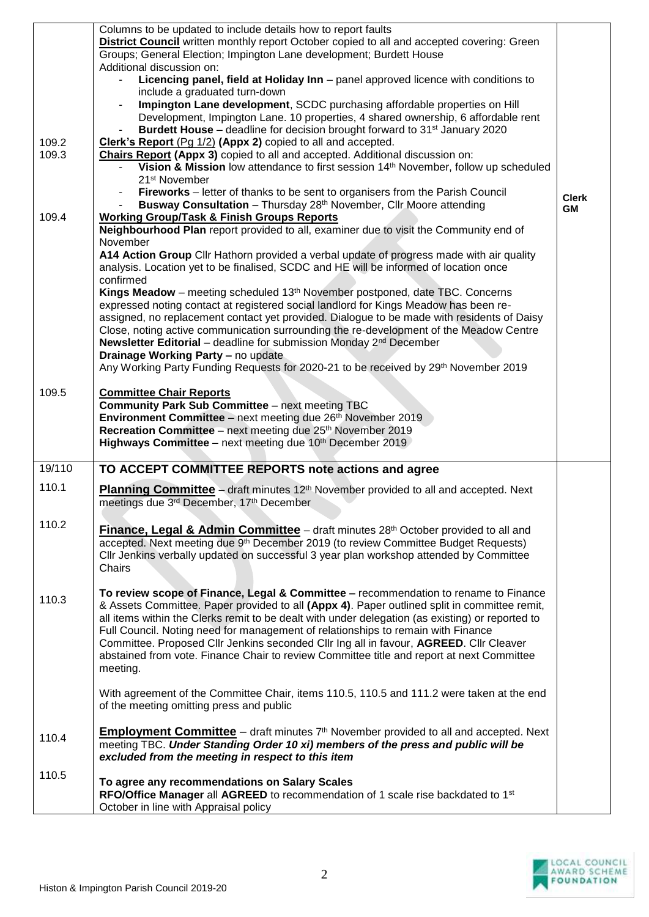|        | Columns to be updated to include details how to report faults                                                                                     |              |
|--------|---------------------------------------------------------------------------------------------------------------------------------------------------|--------------|
|        | <b>District Council</b> written monthly report October copied to all and accepted covering: Green                                                 |              |
|        | Groups; General Election; Impington Lane development; Burdett House                                                                               |              |
|        | Additional discussion on:<br>Licencing panel, field at Holiday Inn - panel approved licence with conditions to                                    |              |
|        | include a graduated turn-down                                                                                                                     |              |
|        | Impington Lane development, SCDC purchasing affordable properties on Hill                                                                         |              |
|        | Development, Impington Lane. 10 properties, 4 shared ownership, 6 affordable rent                                                                 |              |
|        | Burdett House – deadline for decision brought forward to 31 <sup>st</sup> January 2020                                                            |              |
| 109.2  | Clerk's Report (Pg 1/2) (Appx 2) copied to all and accepted.                                                                                      |              |
| 109.3  | Chairs Report (Appx 3) copied to all and accepted. Additional discussion on:                                                                      |              |
|        | Vision & Mission low attendance to first session 14 <sup>th</sup> November, follow up scheduled                                                   |              |
|        | 21 <sup>st</sup> November                                                                                                                         |              |
|        | Fireworks - letter of thanks to be sent to organisers from the Parish Council                                                                     | <b>Clerk</b> |
|        | Busway Consultation - Thursday 28 <sup>th</sup> November, Cllr Moore attending                                                                    | <b>GM</b>    |
| 109.4  | <b>Working Group/Task &amp; Finish Groups Reports</b>                                                                                             |              |
|        | Neighbourhood Plan report provided to all, examiner due to visit the Community end of                                                             |              |
|        | November                                                                                                                                          |              |
|        | A14 Action Group Cllr Hathorn provided a verbal update of progress made with air quality                                                          |              |
|        | analysis. Location yet to be finalised, SCDC and HE will be informed of location once                                                             |              |
|        | confirmed<br>Kings Meadow - meeting scheduled 13 <sup>th</sup> November postponed, date TBC. Concerns                                             |              |
|        | expressed noting contact at registered social landlord for Kings Meadow has been re-                                                              |              |
|        | assigned, no replacement contact yet provided. Dialogue to be made with residents of Daisy                                                        |              |
|        | Close, noting active communication surrounding the re-development of the Meadow Centre                                                            |              |
|        | Newsletter Editorial - deadline for submission Monday 2 <sup>nd</sup> December                                                                    |              |
|        | Drainage Working Party - no update                                                                                                                |              |
|        | Any Working Party Funding Requests for 2020-21 to be received by 29th November 2019                                                               |              |
|        |                                                                                                                                                   |              |
| 109.5  | <b>Committee Chair Reports</b>                                                                                                                    |              |
|        | <b>Community Park Sub Committee - next meeting TBC</b>                                                                                            |              |
|        | Environment Committee - next meeting due 26 <sup>th</sup> November 2019<br>Recreation Committee - next meeting due 25 <sup>th</sup> November 2019 |              |
|        | Highways Committee - next meeting due 10th December 2019                                                                                          |              |
|        |                                                                                                                                                   |              |
| 19/110 | TO ACCEPT COMMITTEE REPORTS note actions and agree                                                                                                |              |
| 110.1  | <b>Planning Committee</b> – draft minutes 12 <sup>th</sup> November provided to all and accepted. Next                                            |              |
|        | meetings due 3rd December, 17th December                                                                                                          |              |
|        |                                                                                                                                                   |              |
| 110.2  | Finance, Legal & Admin Committee - draft minutes 28 <sup>th</sup> October provided to all and                                                     |              |
|        | accepted. Next meeting due 9 <sup>th</sup> December 2019 (to review Committee Budget Requests)                                                    |              |
|        | Cllr Jenkins verbally updated on successful 3 year plan workshop attended by Committee                                                            |              |
|        | Chairs                                                                                                                                            |              |
|        |                                                                                                                                                   |              |
| 110.3  | To review scope of Finance, Legal & Committee - recommendation to rename to Finance                                                               |              |
|        | & Assets Committee. Paper provided to all (Appx 4). Paper outlined split in committee remit,                                                      |              |
|        | all items within the Clerks remit to be dealt with under delegation (as existing) or reported to                                                  |              |
|        | Full Council. Noting need for management of relationships to remain with Finance                                                                  |              |
|        | Committee. Proposed Cllr Jenkins seconded Cllr Ing all in favour, AGREED. Cllr Cleaver                                                            |              |
|        | abstained from vote. Finance Chair to review Committee title and report at next Committee                                                         |              |
|        | meeting.                                                                                                                                          |              |
|        | With agreement of the Committee Chair, items 110.5, 110.5 and 111.2 were taken at the end                                                         |              |
|        | of the meeting omitting press and public                                                                                                          |              |
|        |                                                                                                                                                   |              |
| 110.4  | <b>Employment Committee</b> $-$ draft minutes $7th$ November provided to all and accepted. Next                                                   |              |
|        | meeting TBC. Under Standing Order 10 xi) members of the press and public will be                                                                  |              |
|        | excluded from the meeting in respect to this item                                                                                                 |              |
| 110.5  |                                                                                                                                                   |              |
|        | To agree any recommendations on Salary Scales                                                                                                     |              |
|        | RFO/Office Manager all AGREED to recommendation of 1 scale rise backdated to 1 <sup>st</sup><br>October in line with Appraisal policy             |              |
|        |                                                                                                                                                   |              |

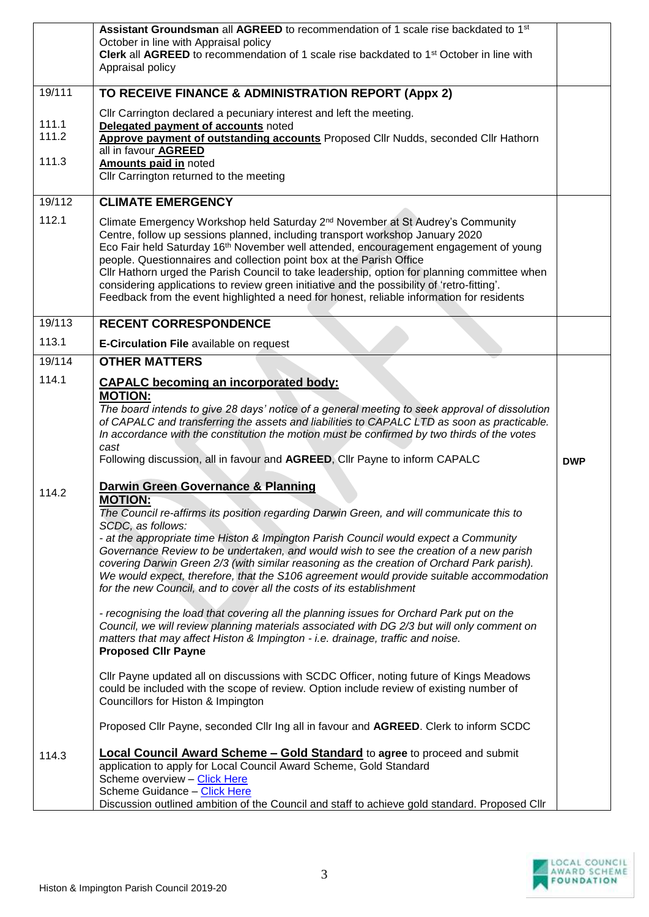|                | Assistant Groundsman all AGREED to recommendation of 1 scale rise backdated to 1 <sup>st</sup>                                                                                             |            |
|----------------|--------------------------------------------------------------------------------------------------------------------------------------------------------------------------------------------|------------|
|                | October in line with Appraisal policy                                                                                                                                                      |            |
|                | Clerk all AGREED to recommendation of 1 scale rise backdated to 1 <sup>st</sup> October in line with<br>Appraisal policy                                                                   |            |
|                |                                                                                                                                                                                            |            |
| 19/111         | TO RECEIVE FINANCE & ADMINISTRATION REPORT (Appx 2)                                                                                                                                        |            |
|                | Cllr Carrington declared a pecuniary interest and left the meeting.                                                                                                                        |            |
| 111.1<br>111.2 | Delegated payment of accounts noted                                                                                                                                                        |            |
|                | Approve payment of outstanding accounts Proposed Cllr Nudds, seconded Cllr Hathorn<br>all in favour AGREED                                                                                 |            |
| 111.3          | <b>Amounts paid in noted</b>                                                                                                                                                               |            |
|                | Cllr Carrington returned to the meeting                                                                                                                                                    |            |
| 19/112         | <b>CLIMATE EMERGENCY</b>                                                                                                                                                                   |            |
| 112.1          | Climate Emergency Workshop held Saturday 2 <sup>nd</sup> November at St Audrey's Community                                                                                                 |            |
|                | Centre, follow up sessions planned, including transport workshop January 2020                                                                                                              |            |
|                | Eco Fair held Saturday 16 <sup>th</sup> November well attended, encouragement engagement of young                                                                                          |            |
|                | people. Questionnaires and collection point box at the Parish Office<br>Cllr Hathorn urged the Parish Council to take leadership, option for planning committee when                       |            |
|                | considering applications to review green initiative and the possibility of 'retro-fitting'.                                                                                                |            |
|                | Feedback from the event highlighted a need for honest, reliable information for residents                                                                                                  |            |
| 19/113         | <b>RECENT CORRESPONDENCE</b>                                                                                                                                                               |            |
| 113.1          | <b>E-Circulation File available on request</b>                                                                                                                                             |            |
| 19/114         | <b>OTHER MATTERS</b>                                                                                                                                                                       |            |
| 114.1          | <b>CAPALC</b> becoming an incorporated body:                                                                                                                                               |            |
|                | <b>MOTION:</b>                                                                                                                                                                             |            |
|                | The board intends to give 28 days' notice of a general meeting to seek approval of dissolution                                                                                             |            |
|                | of CAPALC and transferring the assets and liabilities to CAPALC LTD as soon as practicable.<br>In accordance with the constitution the motion must be confirmed by two thirds of the votes |            |
|                | cast                                                                                                                                                                                       |            |
|                | Following discussion, all in favour and AGREED, Cllr Payne to inform CAPALC                                                                                                                | <b>DWP</b> |
| 114.2          | <b>Darwin Green Governance &amp; Planning</b>                                                                                                                                              |            |
|                | <b>MOTION:</b><br>The Council re-affirms its position regarding Darwin Green, and will communicate this to                                                                                 |            |
|                | SCDC, as follows:                                                                                                                                                                          |            |
|                | - at the appropriate time Histon & Impington Parish Council would expect a Community                                                                                                       |            |
|                | Governance Review to be undertaken, and would wish to see the creation of a new parish                                                                                                     |            |
|                | covering Darwin Green 2/3 (with similar reasoning as the creation of Orchard Park parish).<br>We would expect, therefore, that the S106 agreement would provide suitable accommodation     |            |
|                | for the new Council, and to cover all the costs of its establishment                                                                                                                       |            |
|                | - recognising the load that covering all the planning issues for Orchard Park put on the                                                                                                   |            |
|                | Council, we will review planning materials associated with DG 2/3 but will only comment on                                                                                                 |            |
|                | matters that may affect Histon & Impington - i.e. drainage, traffic and noise.                                                                                                             |            |
|                | <b>Proposed Cllr Payne</b>                                                                                                                                                                 |            |
|                | Cllr Payne updated all on discussions with SCDC Officer, noting future of Kings Meadows                                                                                                    |            |
|                | could be included with the scope of review. Option include review of existing number of                                                                                                    |            |
|                | Councillors for Histon & Impington                                                                                                                                                         |            |
|                | Proposed Cllr Payne, seconded Cllr Ing all in favour and AGREED. Clerk to inform SCDC                                                                                                      |            |
| 114.3          | <b>Local Council Award Scheme - Gold Standard</b> to agree to proceed and submit                                                                                                           |            |
|                | application to apply for Local Council Award Scheme, Gold Standard                                                                                                                         |            |
|                | Scheme overview - Click Here                                                                                                                                                               |            |
|                | Scheme Guidance - Click Here<br>Discussion outlined ambition of the Council and staff to achieve gold standard. Proposed Cllr                                                              |            |